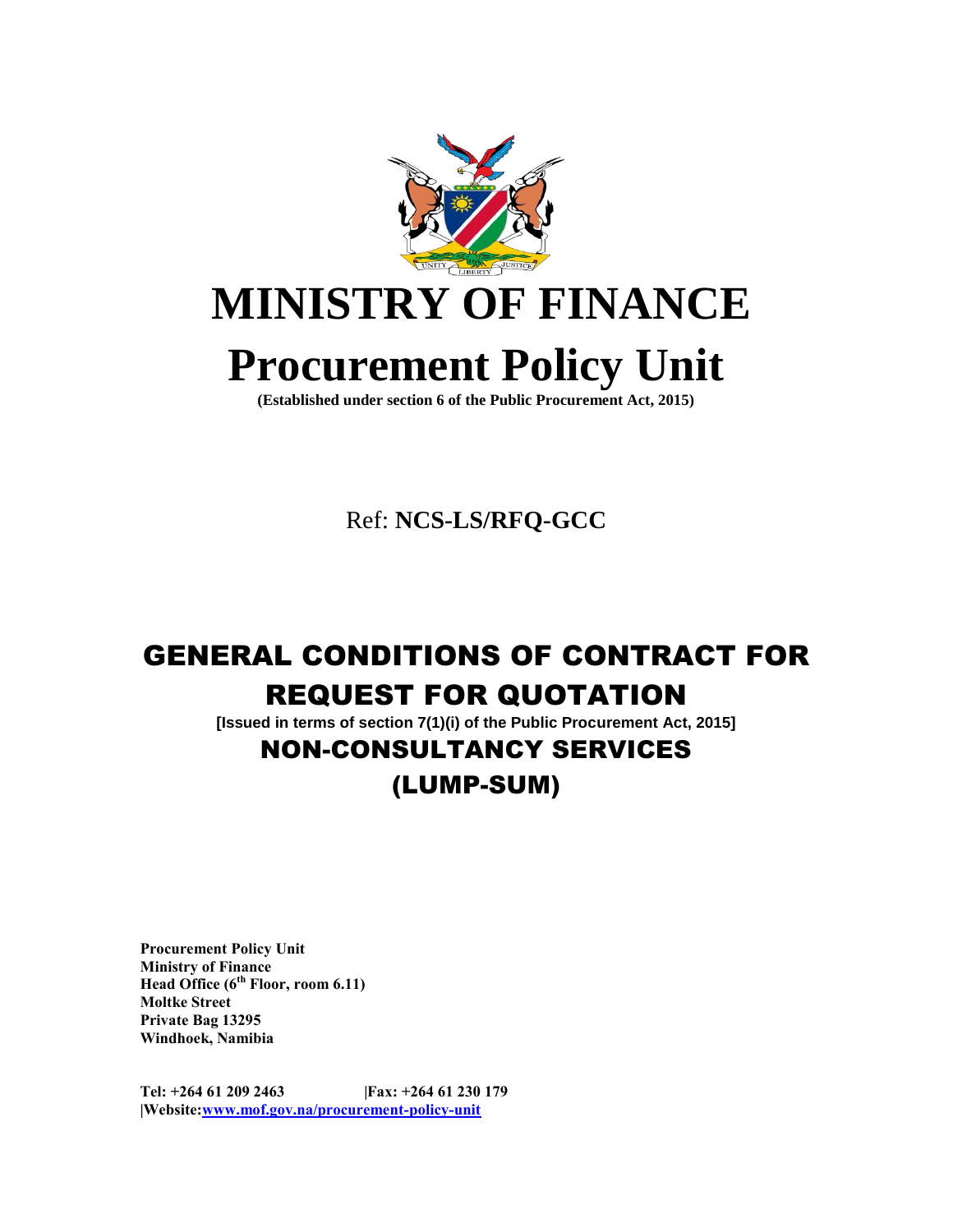

# **MINISTRY OF FINANCE**

# **Procurement Policy Unit**

**(Established under section 6 of the Public Procurement Act, 2015)**

Ref: **NCS-LS/RFQ-GCC**

## GENERAL CONDITIONS OF CONTRACT FOR REQUEST FOR QUOTATION

**[Issued in terms of section 7(1)(i) of the Public Procurement Act, 2015]**

## NON-CONSULTANCY SERVICES

## (LUMP-SUM)

**Procurement Policy Unit Ministry of Finance Head Office (6th Floor, room 6.11) Moltke Street Private Bag 13295 Windhoek, Namibia**

**Tel: +264 61 209 2463 |Fax: +264 61 230 179 |Website[:www.mof.gov.na/procurement-policy-unit](http://www.mof.gov.na/procurement-policy-unit)**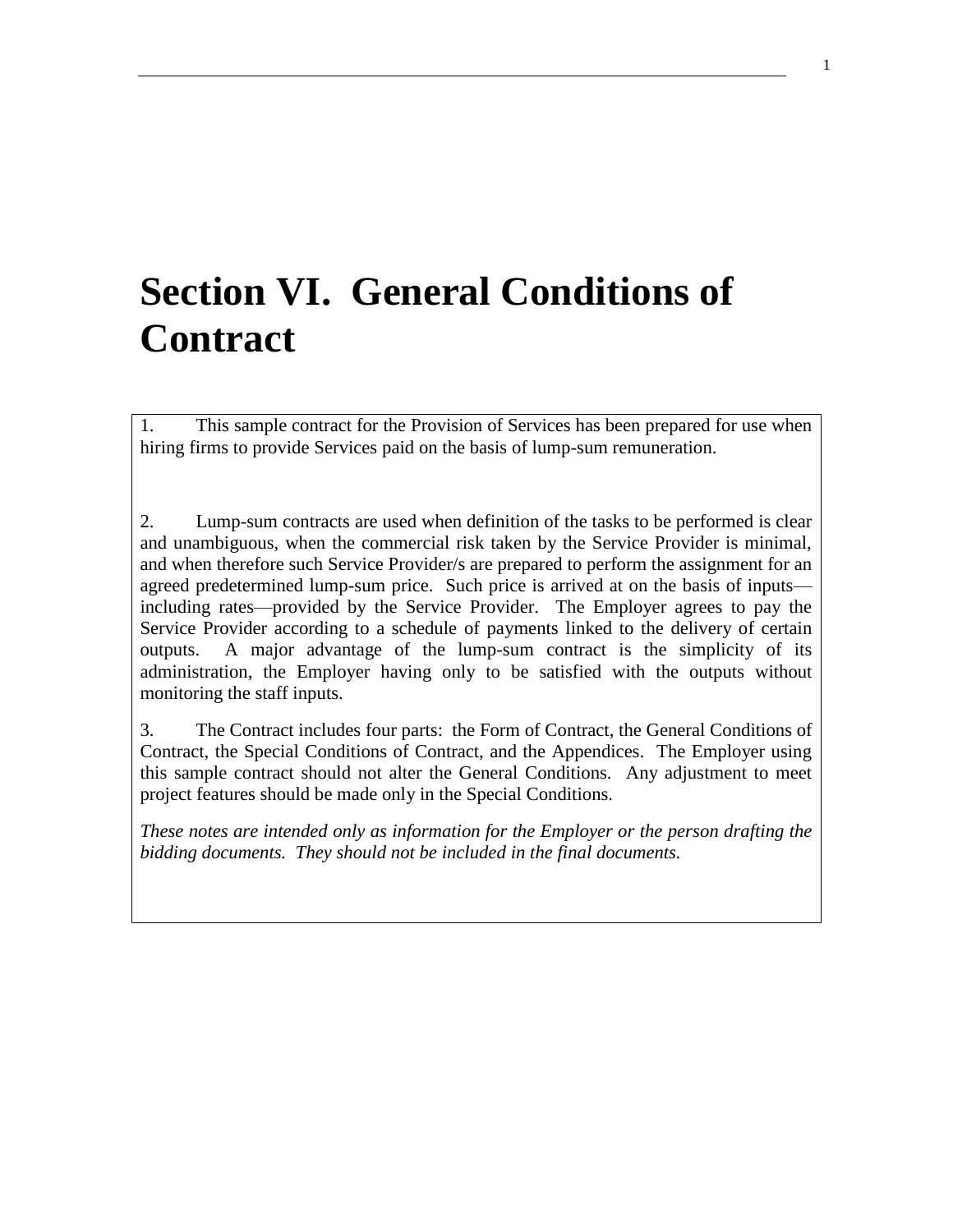## **Section VI. General Conditions of Contract**

1. This sample contract for the Provision of Services has been prepared for use when hiring firms to provide Services paid on the basis of lump-sum remuneration.

2. Lump-sum contracts are used when definition of the tasks to be performed is clear and unambiguous, when the commercial risk taken by the Service Provider is minimal, and when therefore such Service Provider/s are prepared to perform the assignment for an agreed predetermined lump-sum price. Such price is arrived at on the basis of inputs including rates—provided by the Service Provider. The Employer agrees to pay the Service Provider according to a schedule of payments linked to the delivery of certain outputs. A major advantage of the lump-sum contract is the simplicity of its administration, the Employer having only to be satisfied with the outputs without monitoring the staff inputs.

3. The Contract includes four parts: the Form of Contract, the General Conditions of Contract, the Special Conditions of Contract, and the Appendices. The Employer using this sample contract should not alter the General Conditions. Any adjustment to meet project features should be made only in the Special Conditions.

*These notes are intended only as information for the Employer or the person drafting the bidding documents. They should not be included in the final documents.*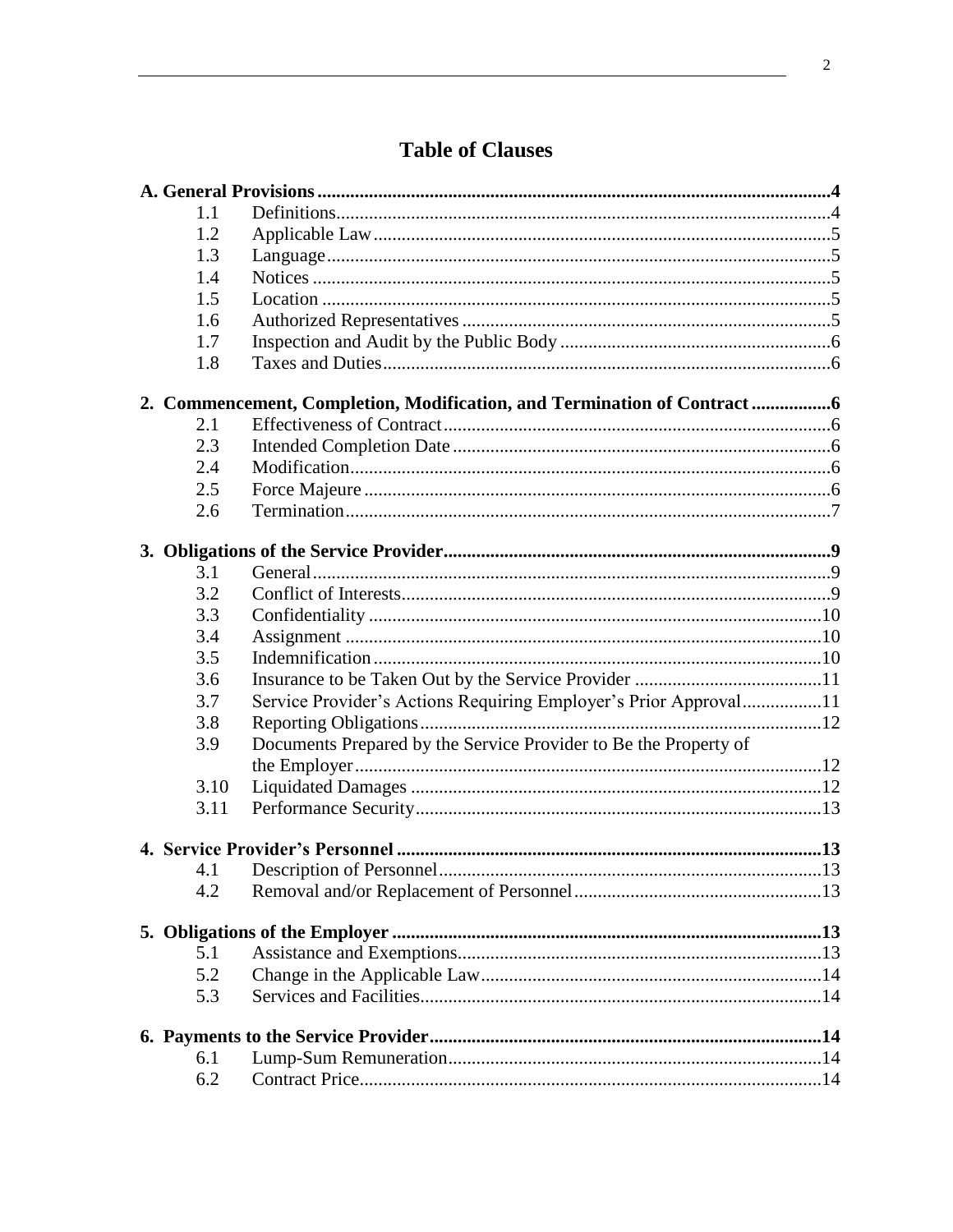| 1.1  |                                                                        |  |
|------|------------------------------------------------------------------------|--|
| 1.2  |                                                                        |  |
| 1.3  |                                                                        |  |
| 1.4  |                                                                        |  |
| 1.5  |                                                                        |  |
| 1.6  |                                                                        |  |
| 1.7  |                                                                        |  |
| 1.8  |                                                                        |  |
|      | 2. Commencement, Completion, Modification, and Termination of Contract |  |
| 2.1  |                                                                        |  |
| 2.3  |                                                                        |  |
| 2.4  |                                                                        |  |
| 2.5  |                                                                        |  |
| 2.6  |                                                                        |  |
|      |                                                                        |  |
| 3.1  |                                                                        |  |
| 3.2  |                                                                        |  |
| 3.3  |                                                                        |  |
| 3.4  |                                                                        |  |
| 3.5  |                                                                        |  |
| 3.6  |                                                                        |  |
| 3.7  | Service Provider's Actions Requiring Employer's Prior Approval11       |  |
| 3.8  |                                                                        |  |
| 3.9  | Documents Prepared by the Service Provider to Be the Property of       |  |
|      |                                                                        |  |
| 3.10 |                                                                        |  |
| 3.11 |                                                                        |  |
|      |                                                                        |  |
| 4.1  |                                                                        |  |
| 4.2  |                                                                        |  |
|      |                                                                        |  |
| 5.1  |                                                                        |  |
| 5.2  |                                                                        |  |
| 5.3  |                                                                        |  |
|      |                                                                        |  |
| 6.1  |                                                                        |  |
| 6.2  |                                                                        |  |

## **Table of Clauses**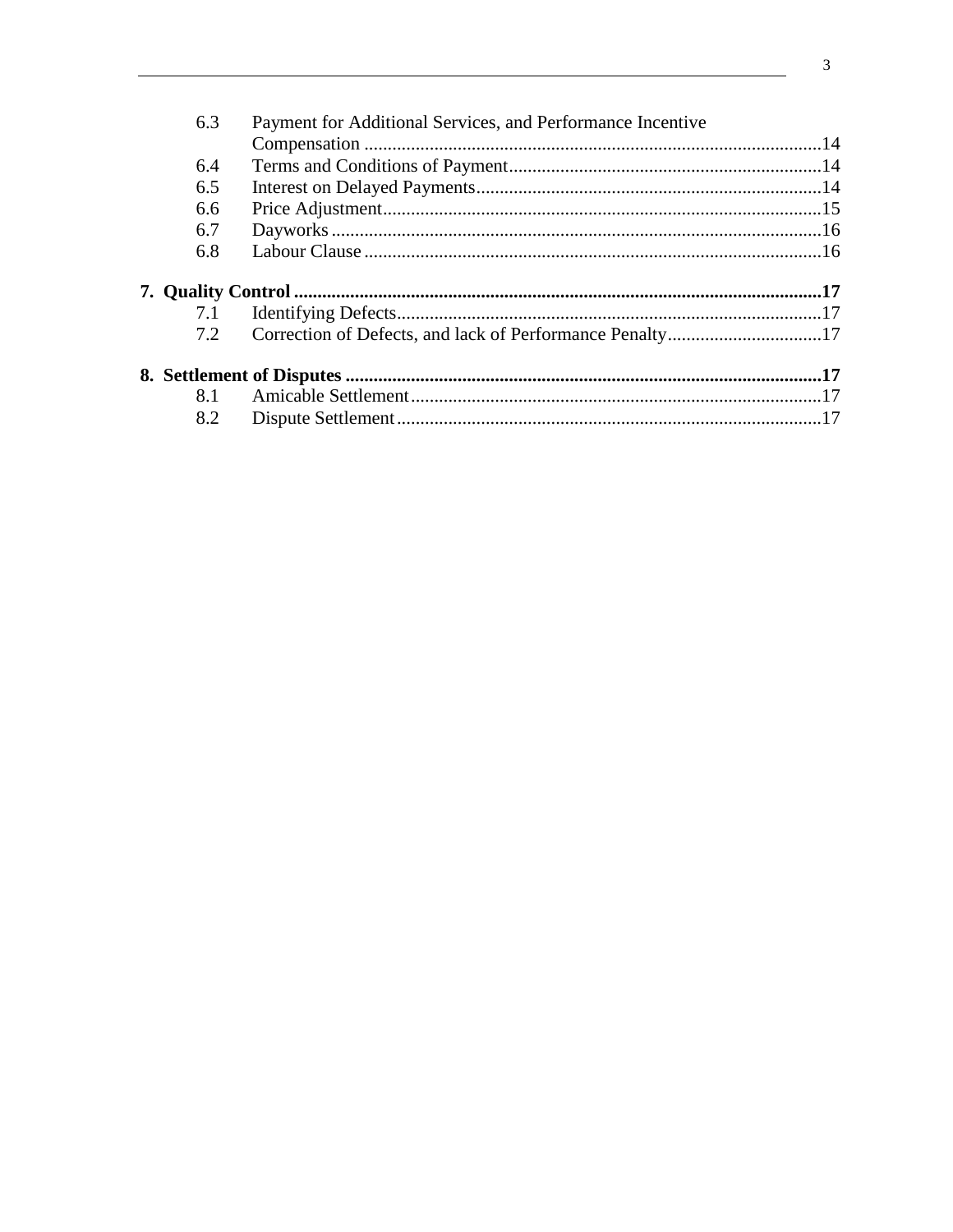| 6.3 | Payment for Additional Services, and Performance Incentive |  |
|-----|------------------------------------------------------------|--|
|     |                                                            |  |
| 6.4 |                                                            |  |
| 6.5 |                                                            |  |
| 6.6 |                                                            |  |
| 6.7 |                                                            |  |
| 6.8 |                                                            |  |
|     |                                                            |  |
| 7.1 |                                                            |  |
| 7.2 | Correction of Defects, and lack of Performance Penalty17   |  |
|     |                                                            |  |
| 8.1 |                                                            |  |
| 8.2 |                                                            |  |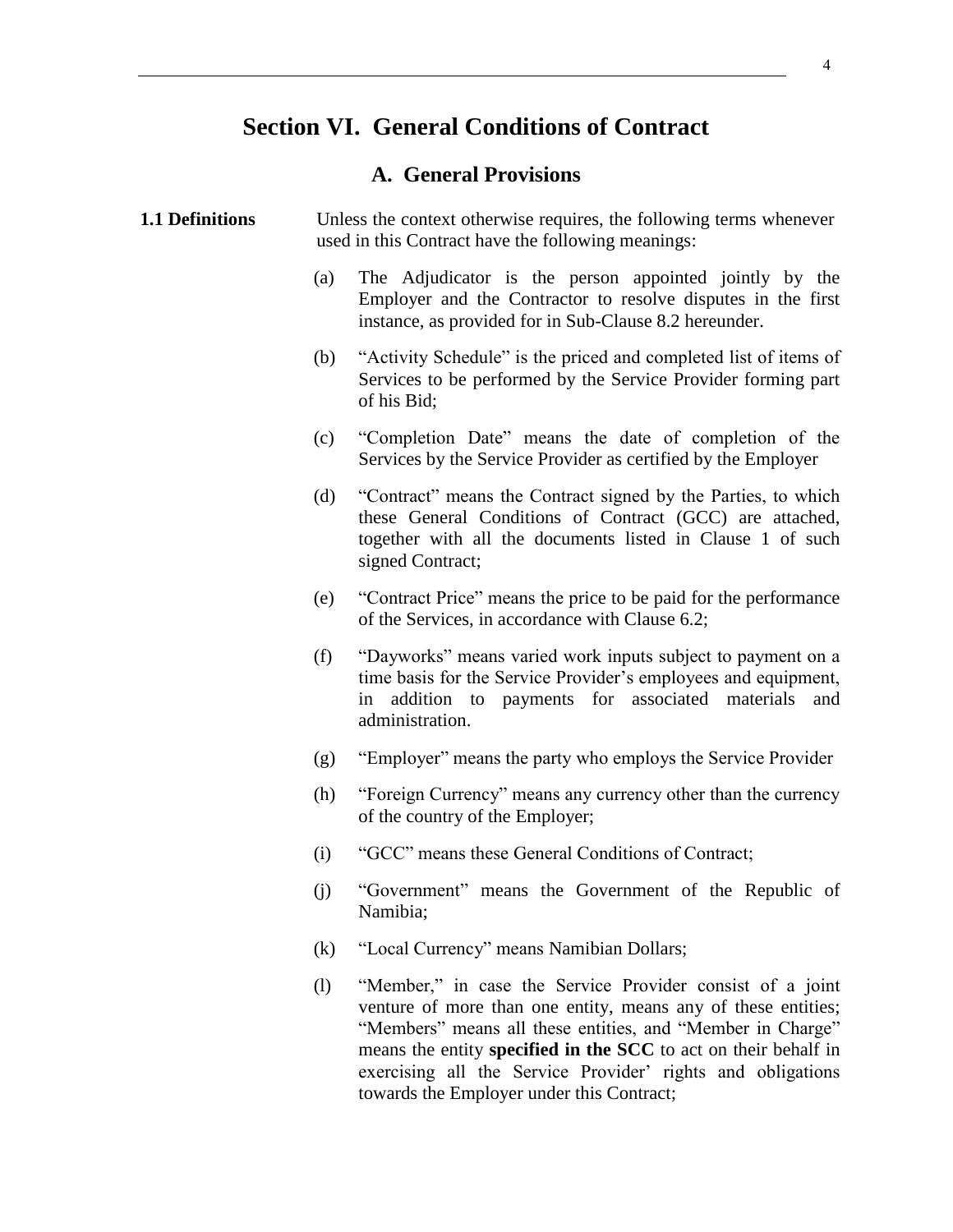### **Section VI. General Conditions of Contract**

#### **A. General Provisions**

#### <span id="page-4-1"></span><span id="page-4-0"></span>**1.1 Definitions** Unless the context otherwise requires, the following terms whenever used in this Contract have the following meanings:

- (a) The Adjudicator is the person appointed jointly by the Employer and the Contractor to resolve disputes in the first instance, as provided for in Sub-Clause 8.2 hereunder.
- (b) "Activity Schedule" is the priced and completed list of items of Services to be performed by the Service Provider forming part of his Bid;
- (c) "Completion Date" means the date of completion of the Services by the Service Provider as certified by the Employer
- (d) "Contract" means the Contract signed by the Parties, to which these General Conditions of Contract (GCC) are attached, together with all the documents listed in Clause 1 of such signed Contract;
- (e) "Contract Price" means the price to be paid for the performance of the Services, in accordance with Clause 6.2;
- (f) "Dayworks" means varied work inputs subject to payment on a time basis for the Service Provider's employees and equipment, in addition to payments for associated materials and administration.
- (g) "Employer" means the party who employs the Service Provider
- (h) "Foreign Currency" means any currency other than the currency of the country of the Employer;
- (i) "GCC" means these General Conditions of Contract;
- (j) "Government" means the Government of the Republic of Namibia;
- (k) "Local Currency" means Namibian Dollars;
- (l) "Member," in case the Service Provider consist of a joint venture of more than one entity, means any of these entities; "Members" means all these entities, and "Member in Charge" means the entity **specified in the SCC** to act on their behalf in exercising all the Service Provider' rights and obligations towards the Employer under this Contract;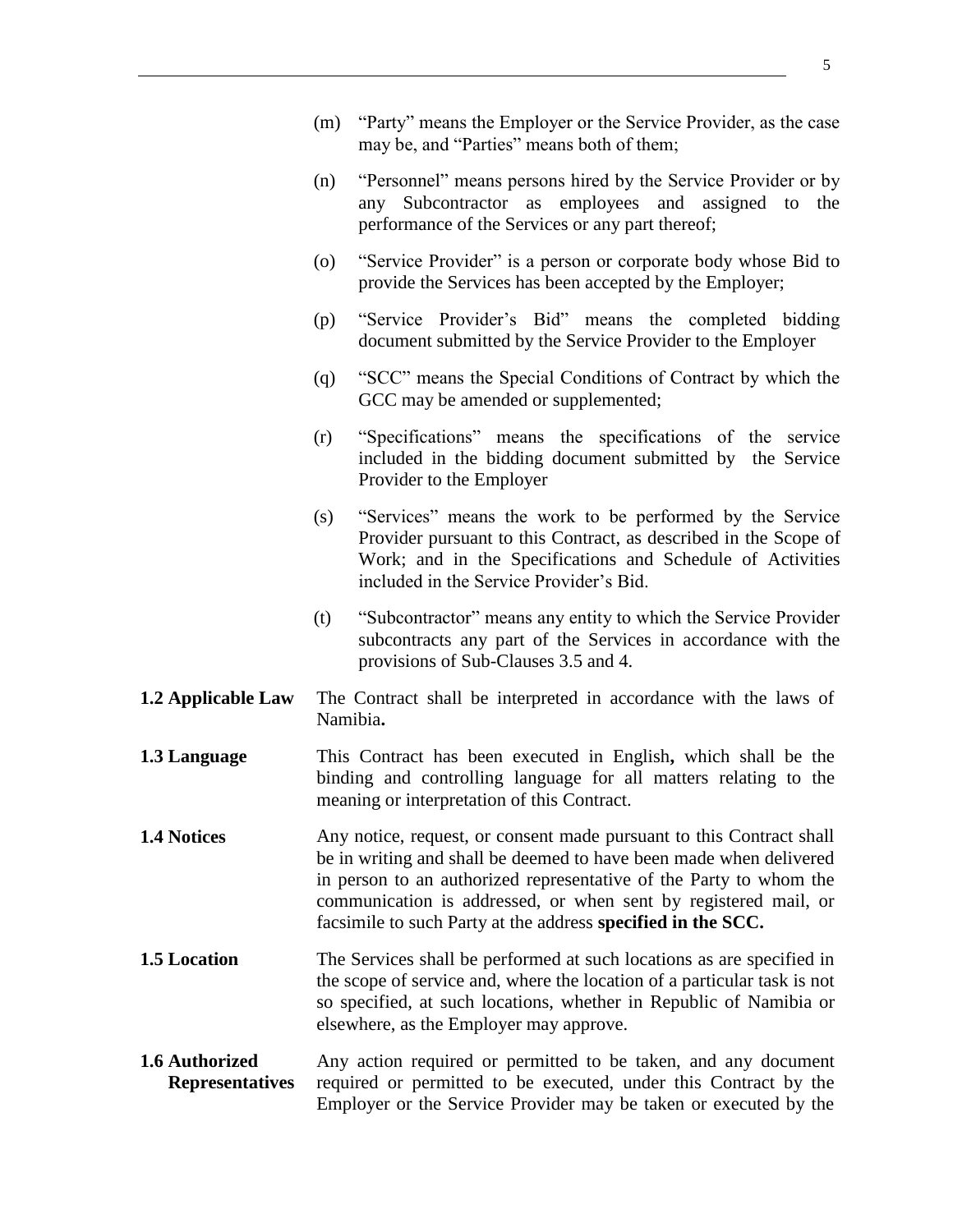- (m) "Party" means the Employer or the Service Provider, as the case may be, and "Parties" means both of them;
- (n) "Personnel" means persons hired by the Service Provider or by any Subcontractor as employees and assigned to the performance of the Services or any part thereof;
- (o) "Service Provider" is a person or corporate body whose Bid to provide the Services has been accepted by the Employer;
- (p) "Service Provider's Bid" means the completed bidding document submitted by the Service Provider to the Employer
- (q) "SCC" means the Special Conditions of Contract by which the GCC may be amended or supplemented;
- (r) "Specifications" means the specifications of the service included in the bidding document submitted by the Service Provider to the Employer
- (s) "Services" means the work to be performed by the Service Provider pursuant to this Contract, as described in the Scope of Work; and in the Specifications and Schedule of Activities included in the Service Provider's Bid.
- (t) "Subcontractor" means any entity to which the Service Provider subcontracts any part of the Services in accordance with the provisions of Sub-Clauses 3.5 and 4.
- <span id="page-5-0"></span>**1.2 Applicable Law** The Contract shall be interpreted in accordance with the laws of Namibia**.**
- <span id="page-5-1"></span>**1.3 Language** This Contract has been executed in English**,** which shall be the binding and controlling language for all matters relating to the meaning or interpretation of this Contract.
- <span id="page-5-2"></span>**1.4** Notices Any notice, request, or consent made pursuant to this Contract shall be in writing and shall be deemed to have been made when delivered in person to an authorized representative of the Party to whom the communication is addressed, or when sent by registered mail, or facsimile to such Party at the address **specified in the SCC.**
- <span id="page-5-3"></span>**1.5** Location The Services shall be performed at such locations as are specified in the scope of service and, where the location of a particular task is not so specified, at such locations, whether in Republic of Namibia or elsewhere, as the Employer may approve.
- <span id="page-5-4"></span>**1.6 Authorized Representatives** Any action required or permitted to be taken, and any document required or permitted to be executed, under this Contract by the Employer or the Service Provider may be taken or executed by the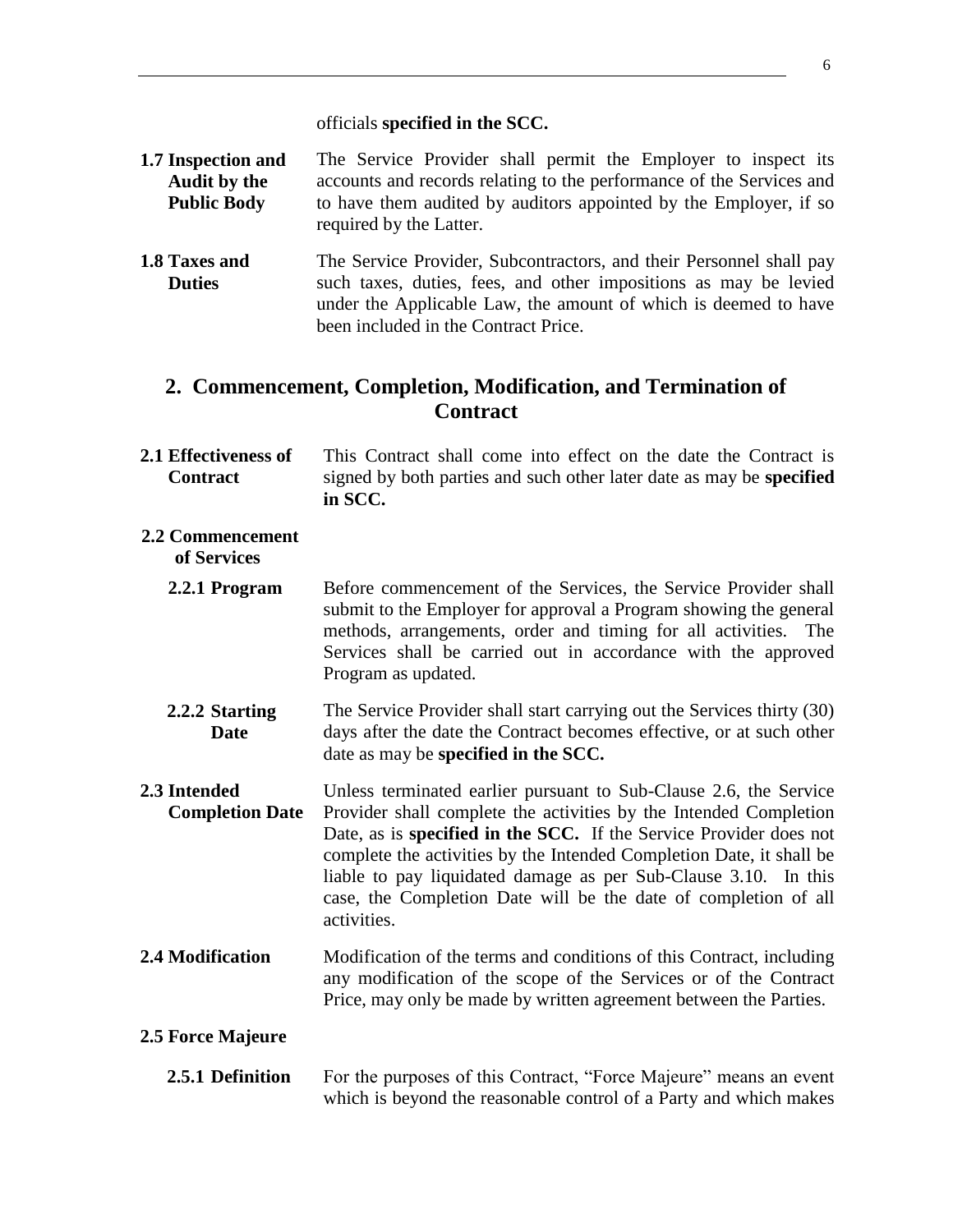- <span id="page-6-0"></span>**1.7 Inspection and Audit by the Public Body** The Service Provider shall permit the Employer to inspect its accounts and records relating to the performance of the Services and to have them audited by auditors appointed by the Employer, if so required by the Latter.
- <span id="page-6-1"></span>**1.8 Taxes and Duties** The Service Provider, Subcontractors, and their Personnel shall pay such taxes, duties, fees, and other impositions as may be levied under the Applicable Law, the amount of which is deemed to have been included in the Contract Price.

### <span id="page-6-2"></span>**2. Commencement, Completion, Modification, and Termination of Contract**

<span id="page-6-3"></span>**2.1 Effectiveness of Contract** This Contract shall come into effect on the date the Contract is signed by both parties and such other later date as may be **specified in SCC.**

#### **2.2 Commencement of Services**

- 
- **2.2.1 Program** Before commencement of the Services, the Service Provider shall submit to the Employer for approval a Program showing the general methods, arrangements, order and timing for all activities. The Services shall be carried out in accordance with the approved Program as updated.
- **2.2.2 Starting Date**  The Service Provider shall start carrying out the Services thirty (30) days after the date the Contract becomes effective, or at such other date as may be **specified in the SCC.**
- <span id="page-6-4"></span>**2.3 Intended Completion Date** Unless terminated earlier pursuant to Sub-Clause 2.6, the Service Provider shall complete the activities by the Intended Completion Date, as is **specified in the SCC.** If the Service Provider does not complete the activities by the Intended Completion Date, it shall be liable to pay liquidated damage as per Sub-Clause 3.10. In this case, the Completion Date will be the date of completion of all activities.
- <span id="page-6-5"></span>**2.4 Modification** Modification of the terms and conditions of this Contract, including any modification of the scope of the Services or of the Contract Price, may only be made by written agreement between the Parties.

#### <span id="page-6-6"></span>**2.5 Force Majeure**

**2.5.1 Definition** For the purposes of this Contract, "Force Majeure" means an event which is beyond the reasonable control of a Party and which makes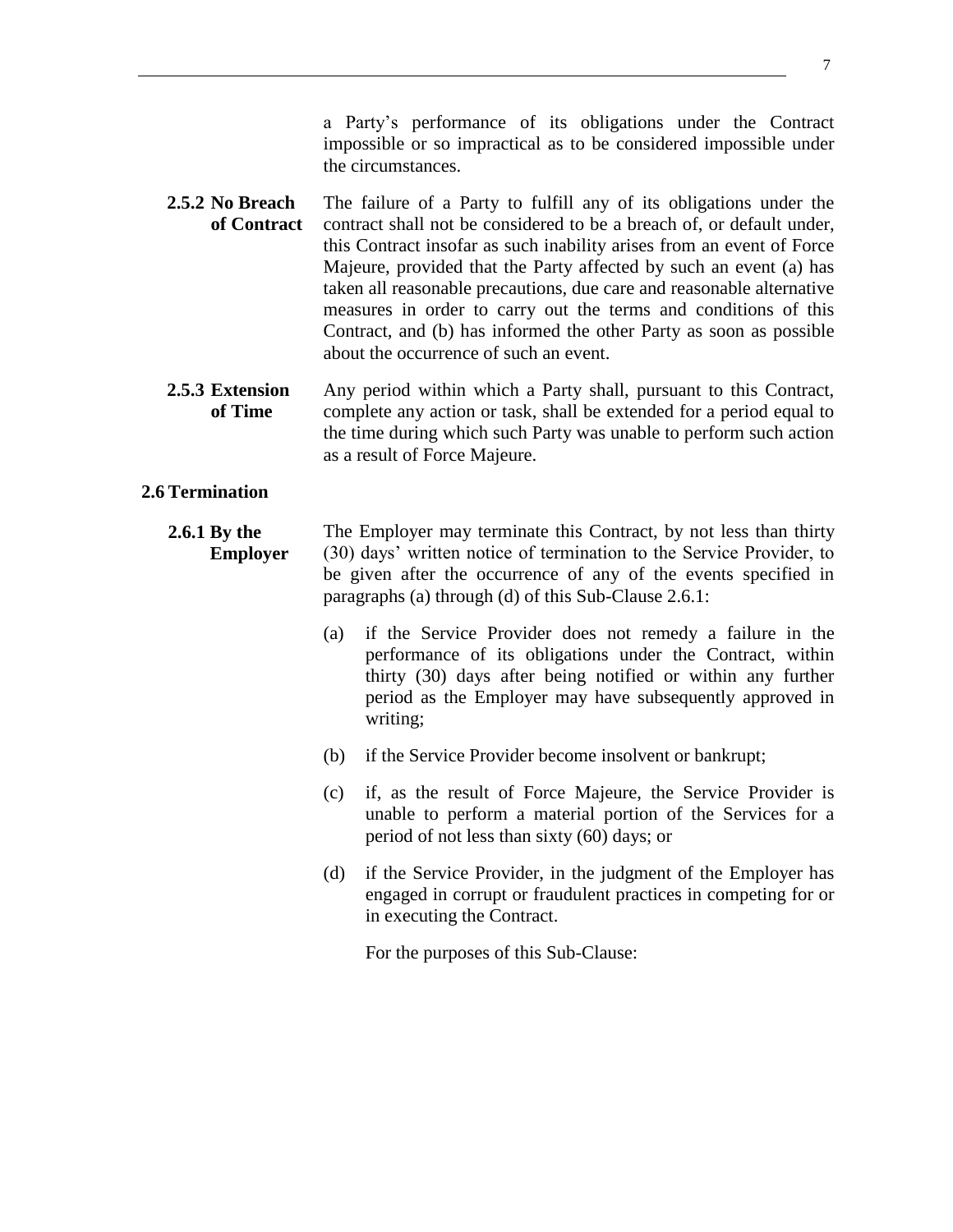- **2.5.2 No Breach of Contract** The failure of a Party to fulfill any of its obligations under the contract shall not be considered to be a breach of, or default under, this Contract insofar as such inability arises from an event of Force Majeure, provided that the Party affected by such an event (a) has taken all reasonable precautions, due care and reasonable alternative measures in order to carry out the terms and conditions of this Contract, and (b) has informed the other Party as soon as possible about the occurrence of such an event.
- **2.5.3 Extension of Time** Any period within which a Party shall, pursuant to this Contract, complete any action or task, shall be extended for a period equal to the time during which such Party was unable to perform such action as a result of Force Majeure.

#### <span id="page-7-0"></span>**2.6 Termination**

#### **2.6.1 By the Employer** The Employer may terminate this Contract, by not less than thirty (30) days' written notice of termination to the Service Provider, to be given after the occurrence of any of the events specified in paragraphs (a) through (d) of this Sub-Clause 2.6.1:

- (a) if the Service Provider does not remedy a failure in the performance of its obligations under the Contract, within thirty (30) days after being notified or within any further period as the Employer may have subsequently approved in writing;
- (b) if the Service Provider become insolvent or bankrupt;
- (c) if, as the result of Force Majeure, the Service Provider is unable to perform a material portion of the Services for a period of not less than sixty (60) days; or
- (d) if the Service Provider, in the judgment of the Employer has engaged in corrupt or fraudulent practices in competing for or in executing the Contract.

For the purposes of this Sub-Clause: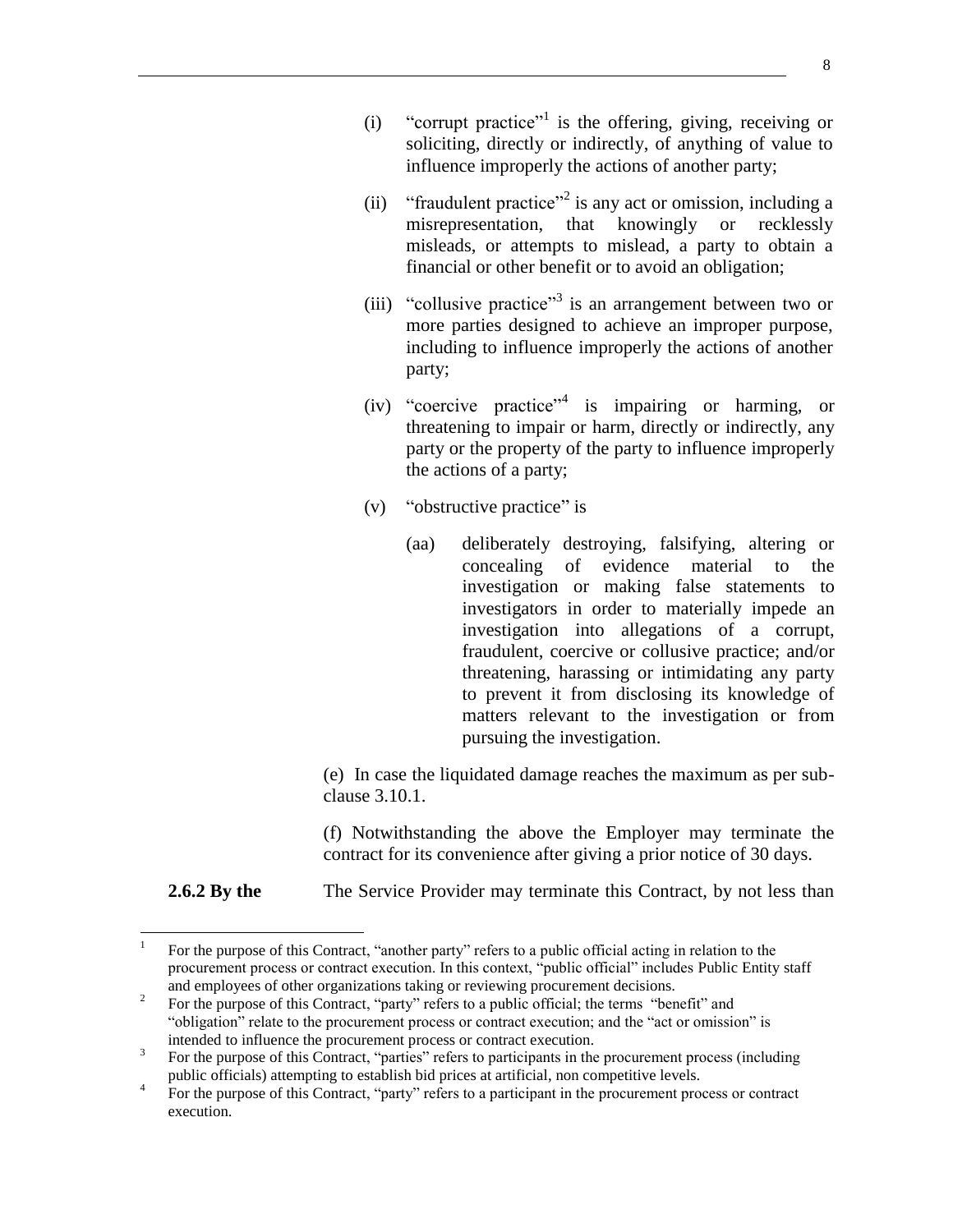- (i) "corrupt practice"<sup>1</sup> is the offering, giving, receiving or soliciting, directly or indirectly, of anything of value to influence improperly the actions of another party;
- (ii) "fraudulent practice"<sup>2</sup> is any act or omission, including a misrepresentation, that knowingly or recklessly misleads, or attempts to mislead, a party to obtain a financial or other benefit or to avoid an obligation;
- (iii) "collusive practice"<sup>3</sup> is an arrangement between two or more parties designed to achieve an improper purpose, including to influence improperly the actions of another party;
- (iv) "coercive practice"<sup>4</sup> is impairing or harming, or threatening to impair or harm, directly or indirectly, any party or the property of the party to influence improperly the actions of a party;
- (v) "obstructive practice" is
	- (aa) deliberately destroying, falsifying, altering or concealing of evidence material to the investigation or making false statements to investigators in order to materially impede an investigation into allegations of a corrupt, fraudulent, coercive or collusive practice; and/or threatening, harassing or intimidating any party to prevent it from disclosing its knowledge of matters relevant to the investigation or from pursuing the investigation.

(e) In case the liquidated damage reaches the maximum as per subclause 3.10.1.

(f) Notwithstanding the above the Employer may terminate the contract for its convenience after giving a prior notice of 30 days.

**2.6.2** By the **The Service Provider may terminate this Contract, by not less than** 

 $\overline{a}$ 

<sup>1</sup> For the purpose of this Contract, "another party" refers to a public official acting in relation to the procurement process or contract execution. In this context, "public official" includes Public Entity staff and employees of other organizations taking or reviewing procurement decisions.

<sup>2</sup> For the purpose of this Contract, "party" refers to a public official; the terms "benefit" and "obligation" relate to the procurement process or contract execution; and the "act or omission" is intended to influence the procurement process or contract execution.

<sup>3</sup> For the purpose of this Contract, "parties" refers to participants in the procurement process (including public officials) attempting to establish bid prices at artificial, non competitive levels.

<sup>4</sup> For the purpose of this Contract, "party" refers to a participant in the procurement process or contract execution.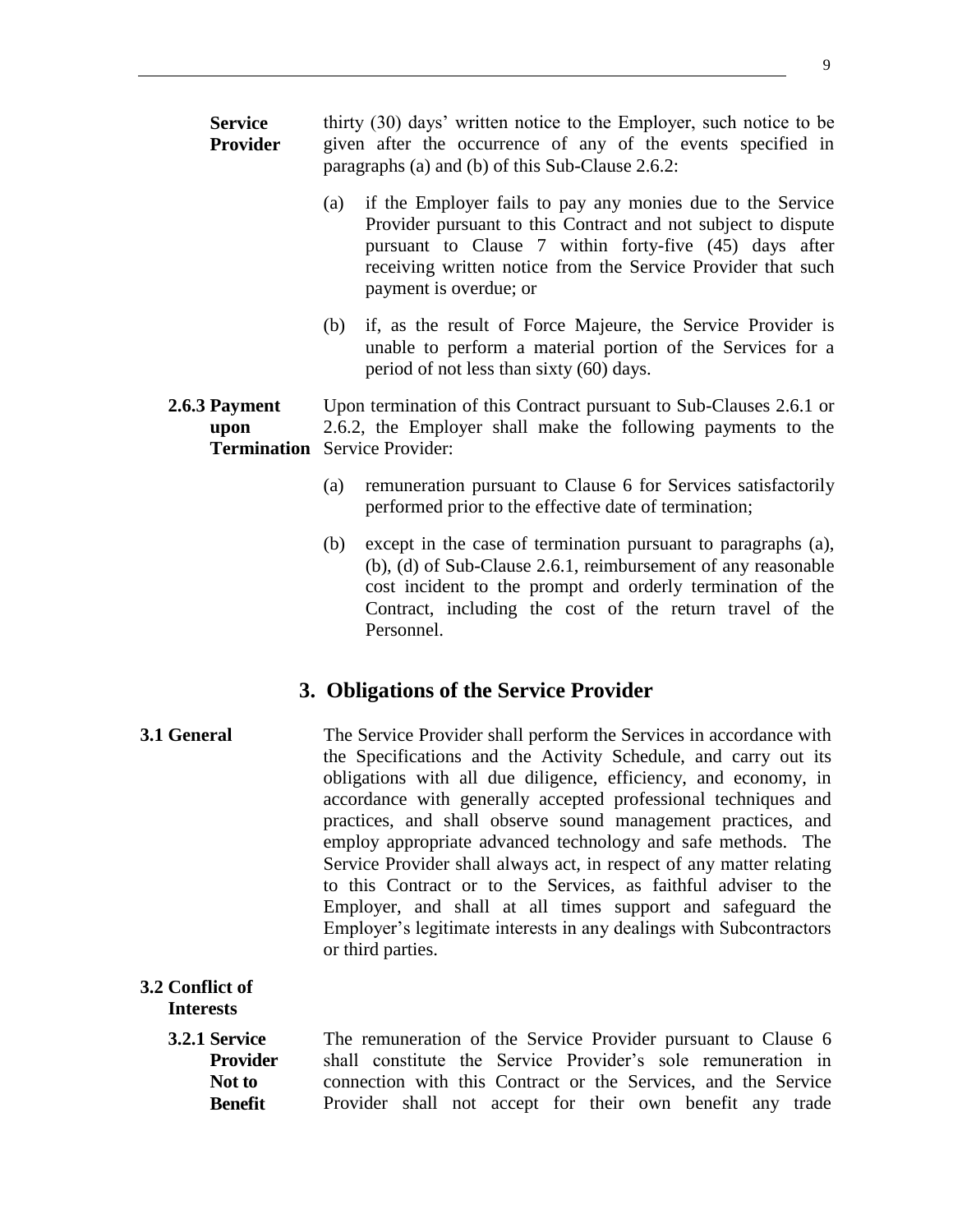| <b>Service</b><br>Provider                                    |     | thirty (30) days' written notice to the Employer, such notice to be<br>given after the occurrence of any of the events specified in<br>paragraphs (a) and (b) of this Sub-Clause 2.6.2:                                                                                                                                                                                                                                                                                                                                                                                                                                                                                                    |
|---------------------------------------------------------------|-----|--------------------------------------------------------------------------------------------------------------------------------------------------------------------------------------------------------------------------------------------------------------------------------------------------------------------------------------------------------------------------------------------------------------------------------------------------------------------------------------------------------------------------------------------------------------------------------------------------------------------------------------------------------------------------------------------|
|                                                               | (a) | if the Employer fails to pay any monies due to the Service<br>Provider pursuant to this Contract and not subject to dispute<br>pursuant to Clause 7 within forty-five (45) days after<br>receiving written notice from the Service Provider that such<br>payment is overdue; or                                                                                                                                                                                                                                                                                                                                                                                                            |
|                                                               | (b) | if, as the result of Force Majeure, the Service Provider is<br>unable to perform a material portion of the Services for a<br>period of not less than sixty (60) days.                                                                                                                                                                                                                                                                                                                                                                                                                                                                                                                      |
| 2.6.3 Payment<br>upon<br><b>Termination</b> Service Provider: |     | Upon termination of this Contract pursuant to Sub-Clauses 2.6.1 or<br>2.6.2, the Employer shall make the following payments to the                                                                                                                                                                                                                                                                                                                                                                                                                                                                                                                                                         |
|                                                               | (a) | remuneration pursuant to Clause 6 for Services satisfactorily<br>performed prior to the effective date of termination;                                                                                                                                                                                                                                                                                                                                                                                                                                                                                                                                                                     |
|                                                               | (b) | except in the case of termination pursuant to paragraphs (a),<br>(b), (d) of Sub-Clause 2.6.1, reimbursement of any reasonable<br>cost incident to the prompt and orderly termination of the<br>Contract, including the cost of the return travel of the<br>Personnel.                                                                                                                                                                                                                                                                                                                                                                                                                     |
|                                                               |     | 3. Obligations of the Service Provider                                                                                                                                                                                                                                                                                                                                                                                                                                                                                                                                                                                                                                                     |
| 3.1 General<br>or third parties.                              |     | The Service Provider shall perform the Services in accordance with<br>the Specifications and the Activity Schedule, and carry out its<br>obligations with all due diligence, efficiency, and economy, in<br>accordance with generally accepted professional techniques and<br>practices, and shall observe sound management practices, and<br>employ appropriate advanced technology and safe methods. The<br>Service Provider shall always act, in respect of any matter relating<br>to this Contract or to the Services, as faithful adviser to the<br>Employer, and shall at all times support and safeguard the<br>Employer's legitimate interests in any dealings with Subcontractors |
| 3.2 Conflict of<br><b>Interests</b>                           |     |                                                                                                                                                                                                                                                                                                                                                                                                                                                                                                                                                                                                                                                                                            |
| 3.2.1 Service<br><b>Provider</b>                              |     | The remuneration of the Service Provider pursuant to Clause 6<br>shall constitute the Service Provider's sole remuneration in                                                                                                                                                                                                                                                                                                                                                                                                                                                                                                                                                              |

<span id="page-9-2"></span><span id="page-9-1"></span><span id="page-9-0"></span>**Not to Benefit**  shall constitute the Service Provider's sole remuneration in connection with this Contract or the Services, and the Service Provider shall not accept for their own benefit any trade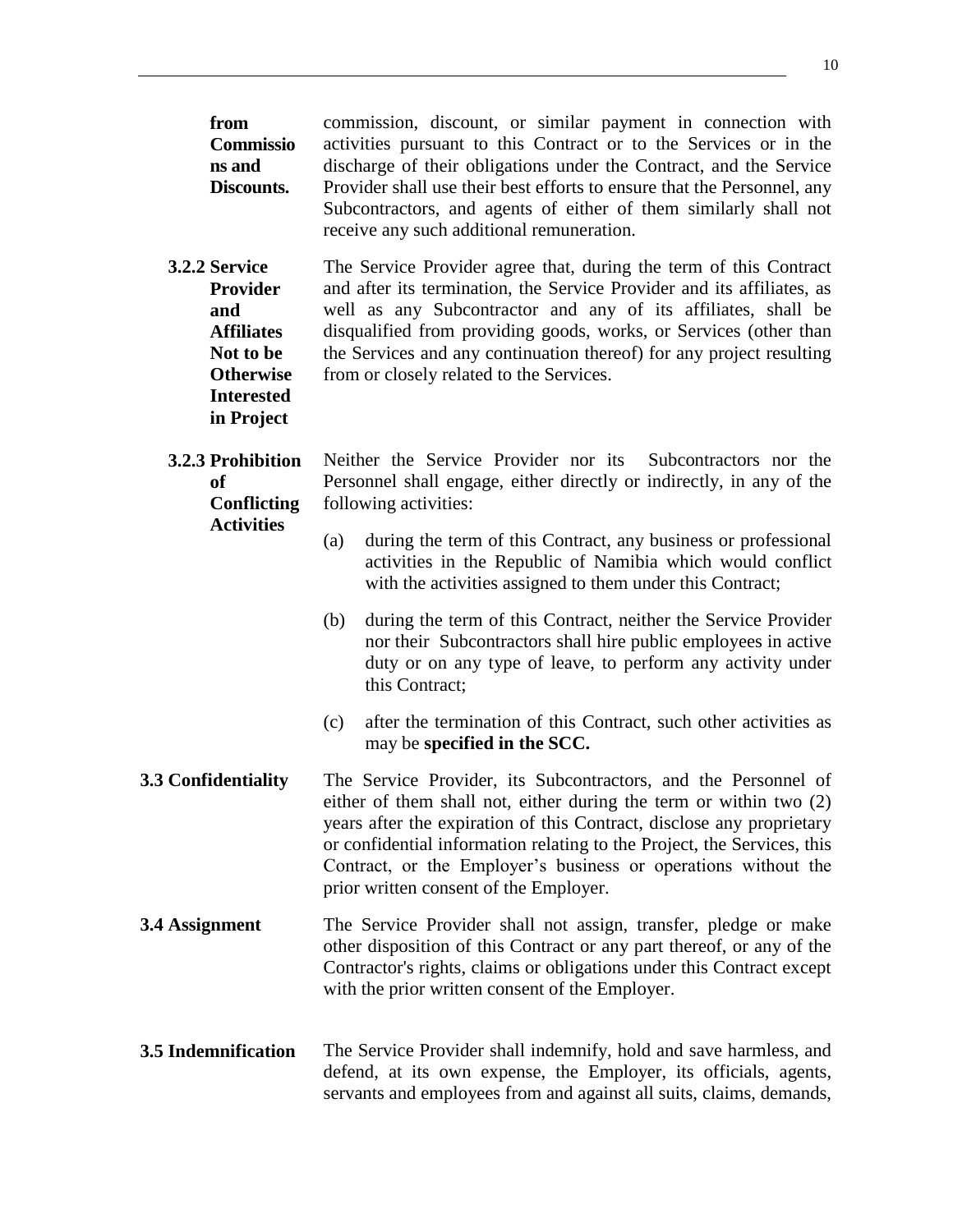<span id="page-10-2"></span><span id="page-10-1"></span><span id="page-10-0"></span>

| from<br>Commissio<br>ns and<br>Discounts.                                                                                        | commission, discount, or similar payment in connection with<br>activities pursuant to this Contract or to the Services or in the<br>discharge of their obligations under the Contract, and the Service<br>Provider shall use their best efforts to ensure that the Personnel, any<br>Subcontractors, and agents of either of them similarly shall not<br>receive any such additional remuneration.    |  |  |
|----------------------------------------------------------------------------------------------------------------------------------|-------------------------------------------------------------------------------------------------------------------------------------------------------------------------------------------------------------------------------------------------------------------------------------------------------------------------------------------------------------------------------------------------------|--|--|
| 3.2.2 Service<br><b>Provider</b><br>and<br><b>Affiliates</b><br>Not to be<br><b>Otherwise</b><br><b>Interested</b><br>in Project | The Service Provider agree that, during the term of this Contract<br>and after its termination, the Service Provider and its affiliates, as<br>well as any Subcontractor and any of its affiliates, shall be<br>disqualified from providing goods, works, or Services (other than<br>the Services and any continuation thereof) for any project resulting<br>from or closely related to the Services. |  |  |
| 3.2.3 Prohibition<br>of<br><b>Conflicting</b>                                                                                    | Neither the Service Provider nor its Subcontractors nor the<br>Personnel shall engage, either directly or indirectly, in any of the<br>following activities:                                                                                                                                                                                                                                          |  |  |
| <b>Activities</b>                                                                                                                | during the term of this Contract, any business or professional<br>(a)<br>activities in the Republic of Namibia which would conflict<br>with the activities assigned to them under this Contract;                                                                                                                                                                                                      |  |  |
|                                                                                                                                  | during the term of this Contract, neither the Service Provider<br>(b)<br>nor their Subcontractors shall hire public employees in active<br>duty or on any type of leave, to perform any activity under<br>this Contract;                                                                                                                                                                              |  |  |
|                                                                                                                                  | after the termination of this Contract, such other activities as<br>(c)<br>may be specified in the SCC.                                                                                                                                                                                                                                                                                               |  |  |
| 3.3 Confidentiality                                                                                                              | The Service Provider, its Subcontractors, and the Personnel of<br>either of them shall not, either during the term or within two (2)<br>years after the expiration of this Contract, disclose any proprietary<br>or confidential information relating to the Project, the Services, this<br>Contract, or the Employer's business or operations without the<br>prior written consent of the Employer.  |  |  |
| 3.4 Assignment                                                                                                                   | The Service Provider shall not assign, transfer, pledge or make<br>other disposition of this Contract or any part thereof, or any of the<br>Contractor's rights, claims or obligations under this Contract except<br>with the prior written consent of the Employer.                                                                                                                                  |  |  |
| 3.5 Indemnification                                                                                                              | The Service Provider shall indemnify, hold and save harmless, and<br>defend, at its own expense, the Employer, its officials, agents,<br>servants and employees from and against all suits, claims, demands,                                                                                                                                                                                          |  |  |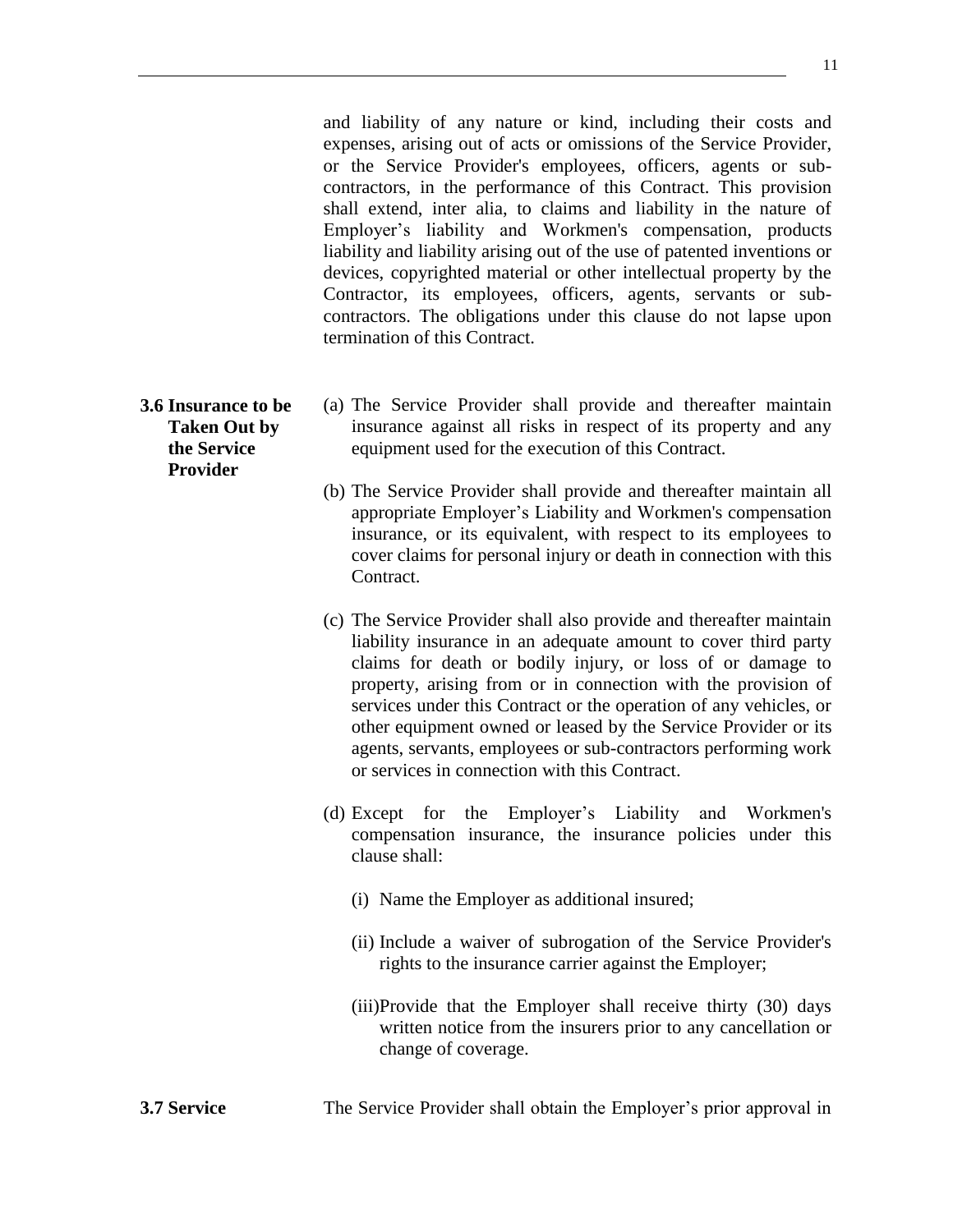and liability of any nature or kind, including their costs and expenses, arising out of acts or omissions of the Service Provider, or the Service Provider's employees, officers, agents or subcontractors, in the performance of this Contract. This provision shall extend, inter alia, to claims and liability in the nature of Employer's liability and Workmen's compensation, products liability and liability arising out of the use of patented inventions or devices, copyrighted material or other intellectual property by the Contractor, its employees, officers, agents, servants or subcontractors. The obligations under this clause do not lapse upon

- <span id="page-11-0"></span>**3.6 Insurance to be Taken Out by the Service Provider**
	- (a) The Service Provider shall provide and thereafter maintain insurance against all risks in respect of its property and any equipment used for the execution of this Contract.

termination of this Contract.

- (b) The Service Provider shall provide and thereafter maintain all appropriate Employer's Liability and Workmen's compensation insurance, or its equivalent, with respect to its employees to cover claims for personal injury or death in connection with this Contract.
- (c) The Service Provider shall also provide and thereafter maintain liability insurance in an adequate amount to cover third party claims for death or bodily injury, or loss of or damage to property, arising from or in connection with the provision of services under this Contract or the operation of any vehicles, or other equipment owned or leased by the Service Provider or its agents, servants, employees or sub-contractors performing work or services in connection with this Contract.
- (d) Except for the Employer's Liability and Workmen's compensation insurance, the insurance policies under this clause shall:
	- (i) Name the Employer as additional insured;
	- (ii) Include a waiver of subrogation of the Service Provider's rights to the insurance carrier against the Employer;
	- (iii)Provide that the Employer shall receive thirty (30) days written notice from the insurers prior to any cancellation or change of coverage.
- <span id="page-11-1"></span>**3.7 Service** The Service Provider shall obtain the Employer's prior approval in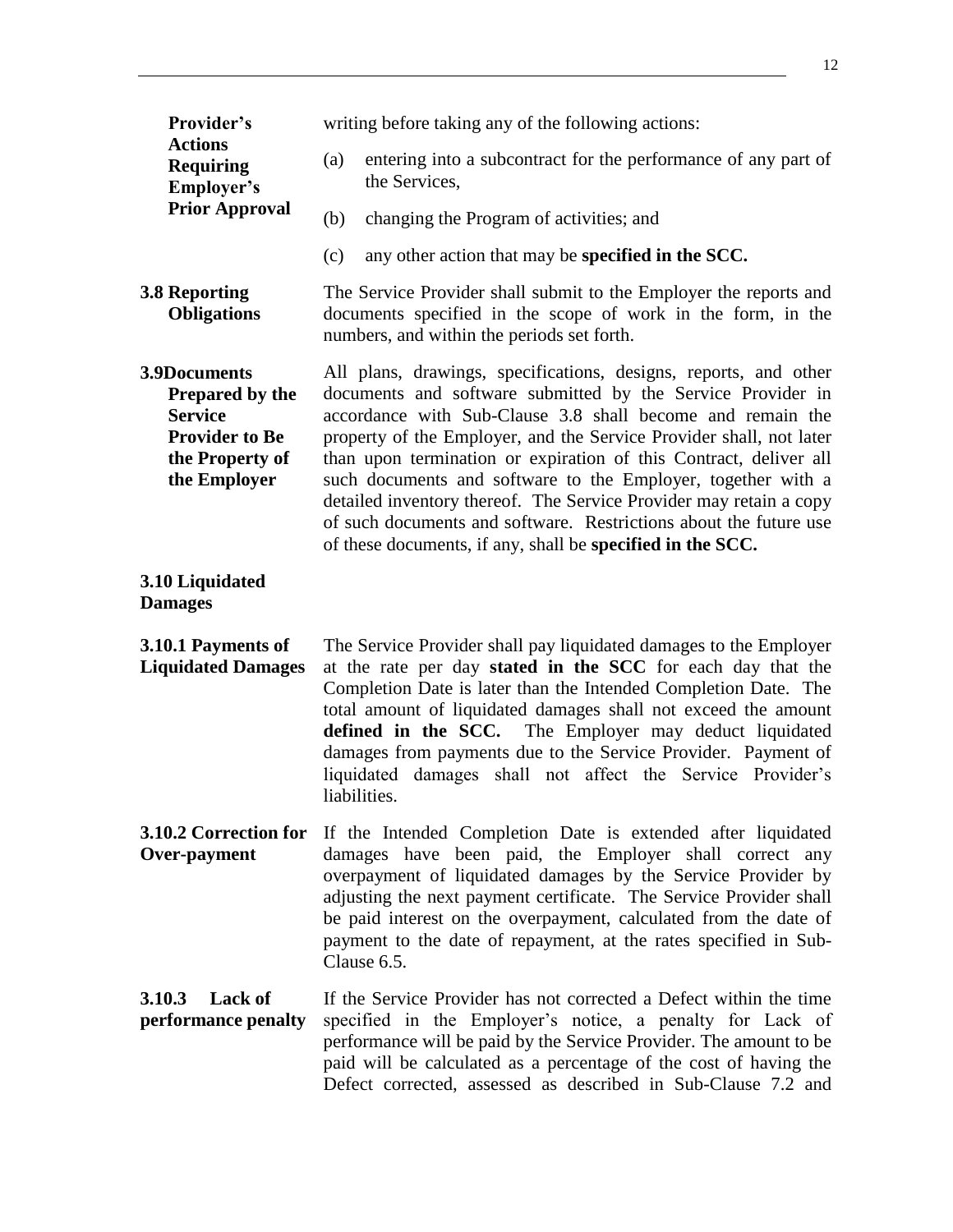<span id="page-12-2"></span><span id="page-12-1"></span><span id="page-12-0"></span>

| Provider's                                                                                                           | writing before taking any of the following actions:                                                                                                                                                                                                                                                                                                                                                                                                                                                                                                                                                                        |
|----------------------------------------------------------------------------------------------------------------------|----------------------------------------------------------------------------------------------------------------------------------------------------------------------------------------------------------------------------------------------------------------------------------------------------------------------------------------------------------------------------------------------------------------------------------------------------------------------------------------------------------------------------------------------------------------------------------------------------------------------------|
| <b>Actions</b><br><b>Requiring</b><br>Employer's                                                                     | entering into a subcontract for the performance of any part of<br>(a)<br>the Services,                                                                                                                                                                                                                                                                                                                                                                                                                                                                                                                                     |
| <b>Prior Approval</b>                                                                                                | changing the Program of activities; and<br>(b)                                                                                                                                                                                                                                                                                                                                                                                                                                                                                                                                                                             |
|                                                                                                                      | any other action that may be specified in the SCC.<br>(c)                                                                                                                                                                                                                                                                                                                                                                                                                                                                                                                                                                  |
| <b>3.8 Reporting</b><br><b>Obligations</b>                                                                           | The Service Provider shall submit to the Employer the reports and<br>documents specified in the scope of work in the form, in the<br>numbers, and within the periods set forth.                                                                                                                                                                                                                                                                                                                                                                                                                                            |
| 3.9Documents<br><b>Prepared by the</b><br><b>Service</b><br><b>Provider to Be</b><br>the Property of<br>the Employer | All plans, drawings, specifications, designs, reports, and other<br>documents and software submitted by the Service Provider in<br>accordance with Sub-Clause 3.8 shall become and remain the<br>property of the Employer, and the Service Provider shall, not later<br>than upon termination or expiration of this Contract, deliver all<br>such documents and software to the Employer, together with a<br>detailed inventory thereof. The Service Provider may retain a copy<br>of such documents and software. Restrictions about the future use<br>of these documents, if any, shall be <b>specified in the SCC</b> . |
| 3.10 Liquidated<br><b>Damages</b>                                                                                    |                                                                                                                                                                                                                                                                                                                                                                                                                                                                                                                                                                                                                            |
| 3.10.1 Payments of<br><b>Liquidated Damages</b>                                                                      | The Service Provider shall pay liquidated damages to the Employer<br>at the rate per day stated in the SCC for each day that the<br>Completion Date is later than the Intended Completion Date. The<br>total amount of liquidated damages shall not exceed the amount<br>defined in the SCC. The Employer may deduct liquidated<br>damages from payments due to the Service Provider. Payment of<br>liquidated damages shall not affect the Service Provider's<br>liabilities.                                                                                                                                             |
| Over-payment                                                                                                         | <b>3.10.2 Correction for</b> If the Intended Completion Date is extended after liquidated<br>damages have been paid, the Employer shall correct any<br>overpayment of liquidated damages by the Service Provider by<br>adjusting the next payment certificate. The Service Provider shall<br>be paid interest on the overpayment, calculated from the date of<br>payment to the date of repayment, at the rates specified in Sub-<br>Clause 6.5.                                                                                                                                                                           |
| Lack of<br>3.10.3<br>performance penalty                                                                             | If the Service Provider has not corrected a Defect within the time<br>specified in the Employer's notice, a penalty for Lack of<br>performance will be paid by the Service Provider. The amount to be<br>paid will be calculated as a percentage of the cost of having the<br>Defect corrected, assessed as described in Sub-Clause 7.2 and                                                                                                                                                                                                                                                                                |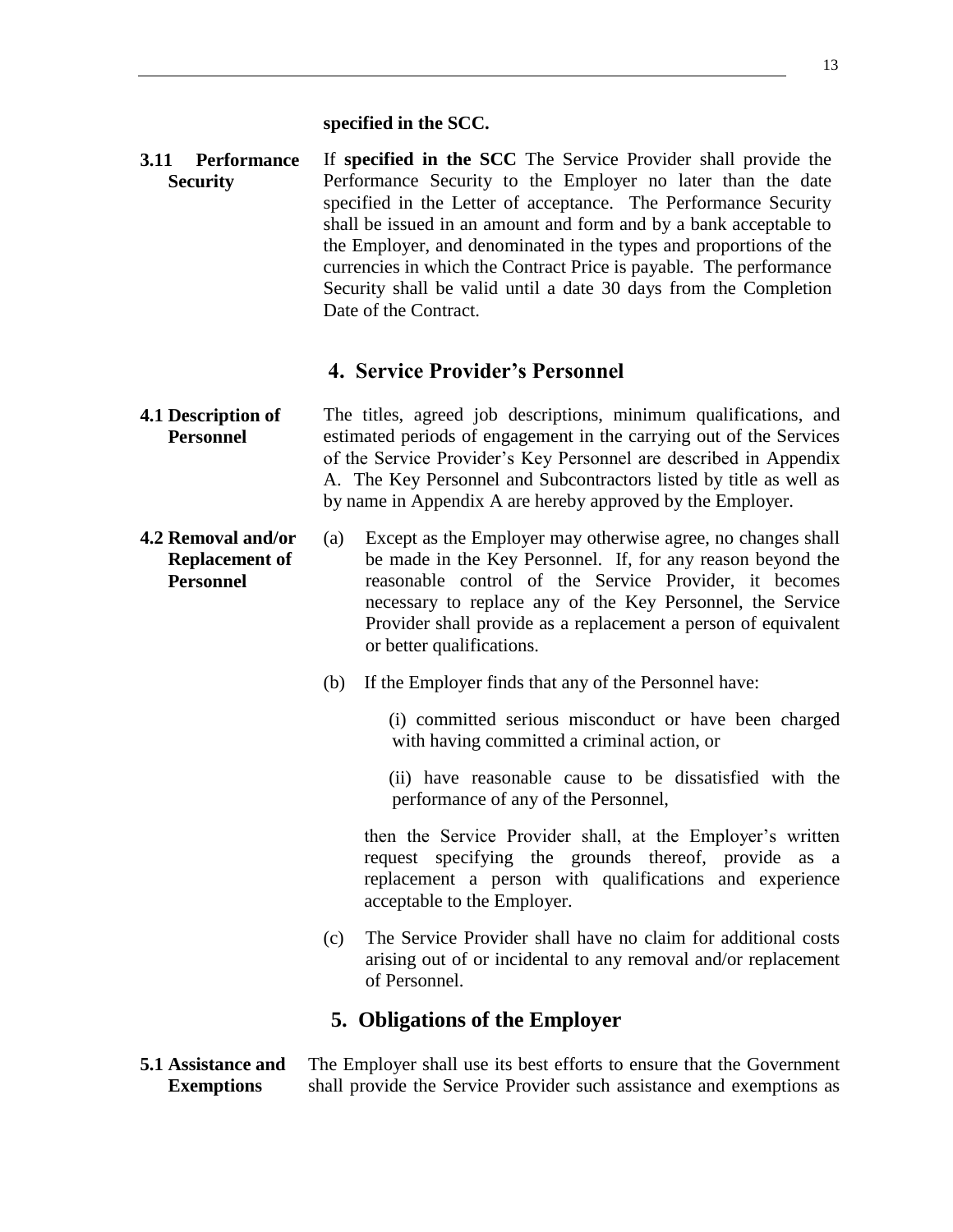#### **specified in the SCC.**

<span id="page-13-0"></span>**3.11 Performance Security** If **specified in the SCC** The Service Provider shall provide the Performance Security to the Employer no later than the date specified in the Letter of acceptance. The Performance Security shall be issued in an amount and form and by a bank acceptable to the Employer, and denominated in the types and proportions of the currencies in which the Contract Price is payable. The performance Security shall be valid until a date 30 days from the Completion Date of the Contract.

#### **4. Service Provider's Personnel**

#### <span id="page-13-2"></span><span id="page-13-1"></span>**4.1 Description of Personnel** The titles, agreed job descriptions, minimum qualifications, and estimated periods of engagement in the carrying out of the Services of the Service Provider's Key Personnel are described in Appendix A. The Key Personnel and Subcontractors listed by title as well as by name in Appendix A are hereby approved by the Employer.

- (a) Except as the Employer may otherwise agree, no changes shall be made in the Key Personnel. If, for any reason beyond the reasonable control of the Service Provider, it becomes necessary to replace any of the Key Personnel, the Service Provider shall provide as a replacement a person of equivalent or better qualifications.
	- (b) If the Employer finds that any of the Personnel have:

 (i) committed serious misconduct or have been charged with having committed a criminal action, or

 (ii) have reasonable cause to be dissatisfied with the performance of any of the Personnel,

 then the Service Provider shall, at the Employer's written request specifying the grounds thereof, provide as a replacement a person with qualifications and experience acceptable to the Employer.

(c) The Service Provider shall have no claim for additional costs arising out of or incidental to any removal and/or replacement of Personnel.

#### **5. Obligations of the Employer**

<span id="page-13-5"></span><span id="page-13-4"></span>**5.1 Assistance and Exemptions** The Employer shall use its best efforts to ensure that the Government shall provide the Service Provider such assistance and exemptions as

<span id="page-13-3"></span>**4.2 Removal and/or Replacement of Personnel**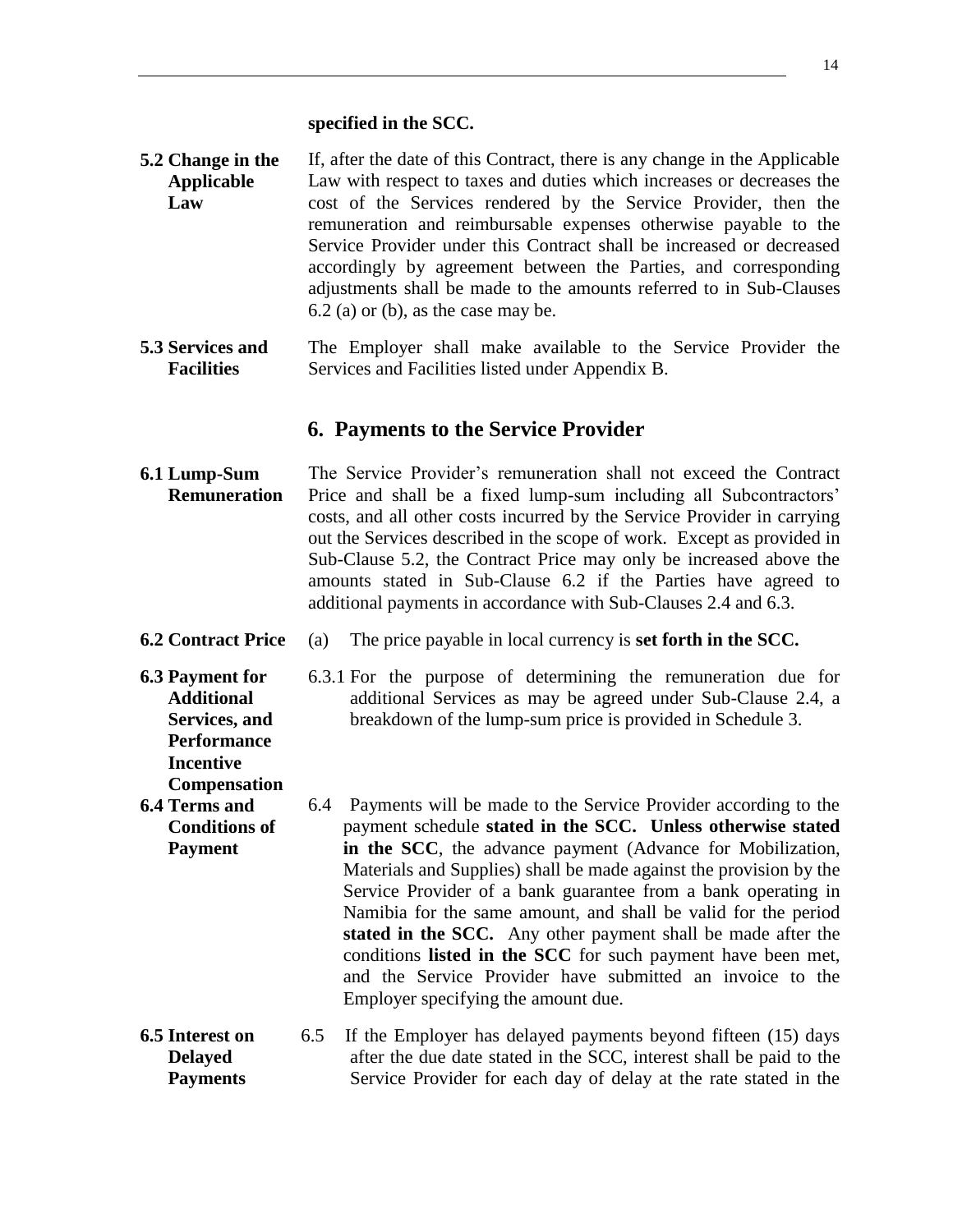**specified in the SCC.**

- <span id="page-14-0"></span>**5.2 Change in the Applicable Law** If, after the date of this Contract, there is any change in the Applicable Law with respect to taxes and duties which increases or decreases the cost of the Services rendered by the Service Provider, then the remuneration and reimbursable expenses otherwise payable to the Service Provider under this Contract shall be increased or decreased accordingly by agreement between the Parties, and corresponding adjustments shall be made to the amounts referred to in Sub-Clauses  $6.2$  (a) or (b), as the case may be.
- <span id="page-14-1"></span>**5.3 Services and Facilities** The Employer shall make available to the Service Provider the Services and Facilities listed under Appendix B.

#### **6. Payments to the Service Provider**

- <span id="page-14-3"></span><span id="page-14-2"></span>**6.1 Lump-Sum Remuneration** The Service Provider's remuneration shall not exceed the Contract Price and shall be a fixed lump-sum including all Subcontractors' costs, and all other costs incurred by the Service Provider in carrying out the Services described in the scope of work. Except as provided in Sub-Clause 5.2, the Contract Price may only be increased above the amounts stated in Sub-Clause 6.2 if the Parties have agreed to additional payments in accordance with Sub-Clauses 2.4 and 6.3.
- <span id="page-14-4"></span>**6.2 Contract Price** (a) The price payable in local currency is **set forth in the SCC.**
- <span id="page-14-5"></span>**6.3 Payment for Additional Services, and Performance Incentive Compensation**
- 6.3.1 For the purpose of determining the remuneration due for additional Services as may be agreed under Sub-Clause 2.4, a breakdown of the lump-sum price is provided in Schedule 3.
- <span id="page-14-6"></span>**6.4 Terms and Conditions of Payment** 6.4 Payments will be made to the Service Provider according to the payment schedule **stated in the SCC. Unless otherwise stated in the SCC**, the advance payment (Advance for Mobilization, Materials and Supplies) shall be made against the provision by the Service Provider of a bank guarantee from a bank operating in Namibia for the same amount, and shall be valid for the period **stated in the SCC.** Any other payment shall be made after the conditions **listed in the SCC** for such payment have been met, and the Service Provider have submitted an invoice to the Employer specifying the amount due.
- <span id="page-14-7"></span>**6.5 Interest on Delayed Payments** 6.5 If the Employer has delayed payments beyond fifteen (15) days after the due date stated in the SCC, interest shall be paid to the Service Provider for each day of delay at the rate stated in the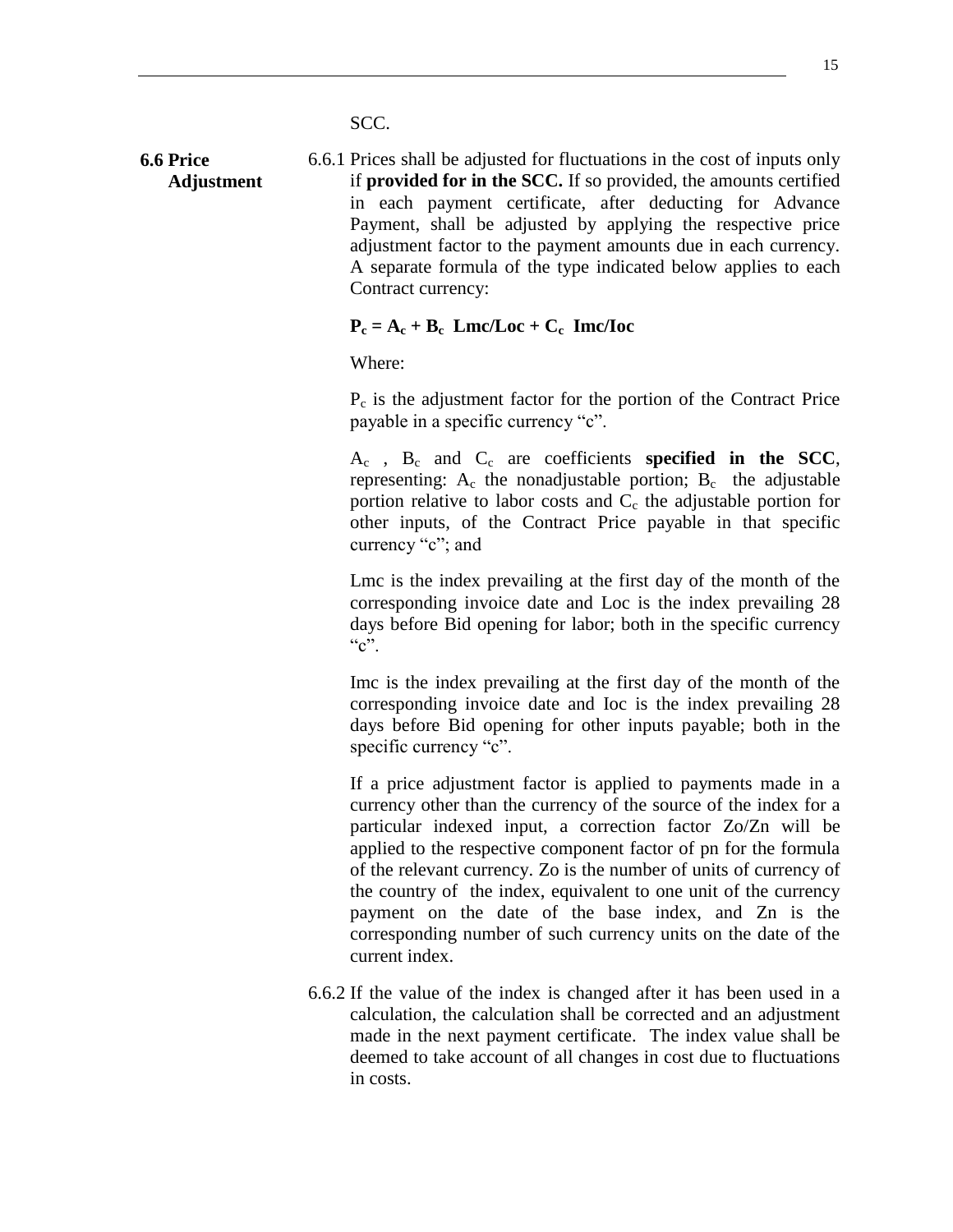SCC.

<span id="page-15-0"></span>**6.6 Price Adjustment** 6.6.1 Prices shall be adjusted for fluctuations in the cost of inputs only if **provided for in the SCC.** If so provided, the amounts certified in each payment certificate, after deducting for Advance Payment, shall be adjusted by applying the respective price adjustment factor to the payment amounts due in each currency. A separate formula of the type indicated below applies to each Contract currency:

#### $P_c = A_c + B_c$  Lmc/Loc + C<sub>c</sub> Imc/Ioc

Where:

 $P_c$  is the adjustment factor for the portion of the Contract Price payable in a specific currency "c".

A<sup>c</sup> , B<sup>c</sup> and C<sup>c</sup> are coefficients **specified in the SCC**, representing:  $A_c$  the nonadjustable portion;  $B_c$  the adjustable portion relative to labor costs and  $C_c$  the adjustable portion for other inputs, of the Contract Price payable in that specific currency "c"; and

Lmc is the index prevailing at the first day of the month of the corresponding invoice date and Loc is the index prevailing 28 days before Bid opening for labor; both in the specific currency  $C$ ".

Imc is the index prevailing at the first day of the month of the corresponding invoice date and Ioc is the index prevailing 28 days before Bid opening for other inputs payable; both in the specific currency "c".

If a price adjustment factor is applied to payments made in a currency other than the currency of the source of the index for a particular indexed input, a correction factor Zo/Zn will be applied to the respective component factor of pn for the formula of the relevant currency. Zo is the number of units of currency of the country of the index, equivalent to one unit of the currency payment on the date of the base index, and Zn is the corresponding number of such currency units on the date of the current index.

6.6.2 If the value of the index is changed after it has been used in a calculation, the calculation shall be corrected and an adjustment made in the next payment certificate. The index value shall be deemed to take account of all changes in cost due to fluctuations in costs.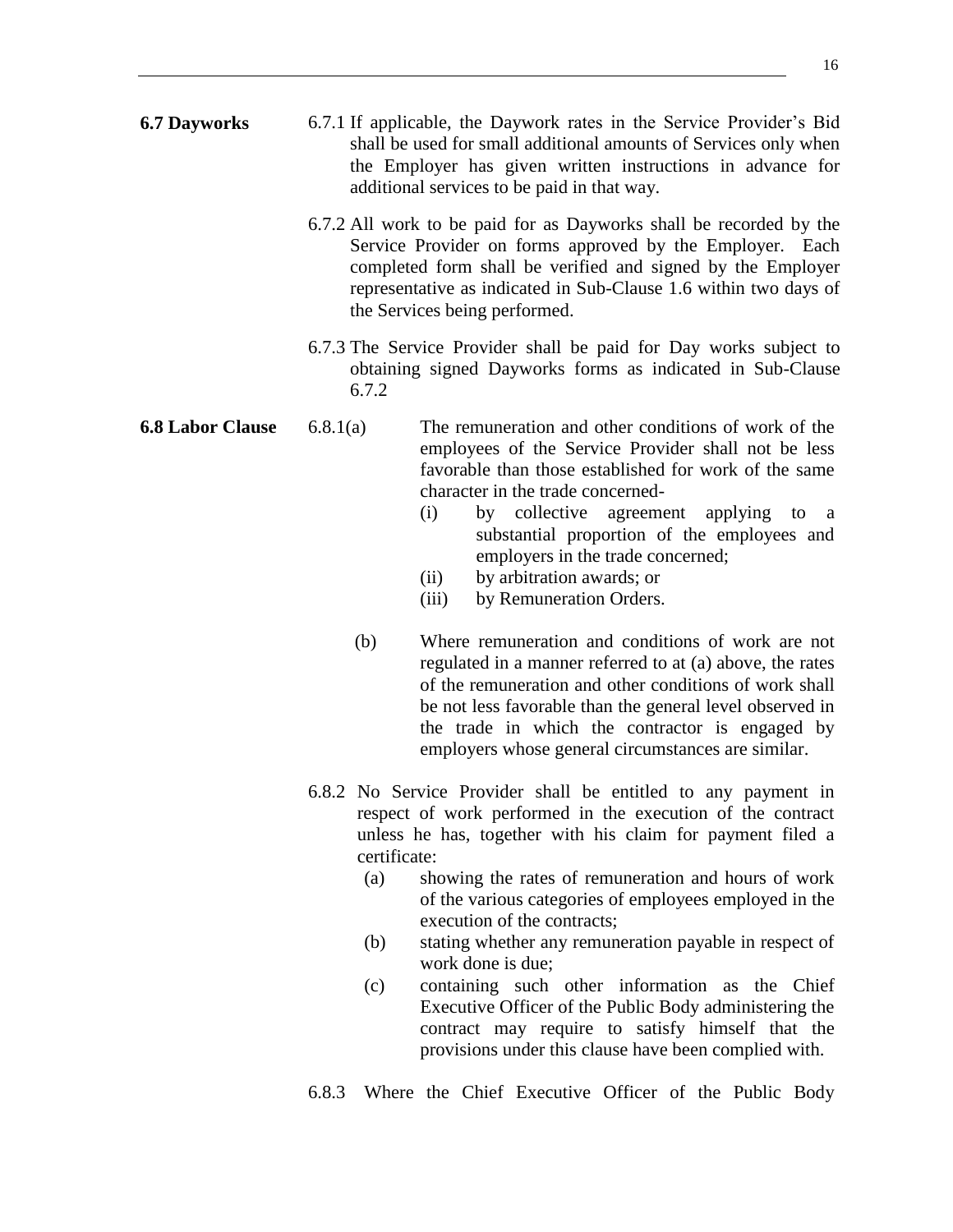- <span id="page-16-0"></span>**6.7 Dayworks** 6.7.1 If applicable, the Daywork rates in the Service Provider's Bid shall be used for small additional amounts of Services only when the Employer has given written instructions in advance for additional services to be paid in that way.
	- 6.7.2 All work to be paid for as Dayworks shall be recorded by the Service Provider on forms approved by the Employer. Each completed form shall be verified and signed by the Employer representative as indicated in Sub-Clause 1.6 within two days of the Services being performed.
	- 6.7.3 The Service Provider shall be paid for Day works subject to obtaining signed Dayworks forms as indicated in Sub-Clause 6.7.2
- <span id="page-16-1"></span>**6.8 Labor Clause** 6.8.1(a) The remuneration and other conditions of work of the employees of the Service Provider shall not be less favorable than those established for work of the same character in the trade concerned-
	- (i) by collective agreement applying to a substantial proportion of the employees and employers in the trade concerned;
	- (ii) by arbitration awards; or
	- (iii) by Remuneration Orders.
	- (b) Where remuneration and conditions of work are not regulated in a manner referred to at (a) above, the rates of the remuneration and other conditions of work shall be not less favorable than the general level observed in the trade in which the contractor is engaged by employers whose general circumstances are similar.
	- 6.8.2 No Service Provider shall be entitled to any payment in respect of work performed in the execution of the contract unless he has, together with his claim for payment filed a certificate:
		- (a) showing the rates of remuneration and hours of work of the various categories of employees employed in the execution of the contracts;
		- (b) stating whether any remuneration payable in respect of work done is due;
		- (c) containing such other information as the Chief Executive Officer of the Public Body administering the contract may require to satisfy himself that the provisions under this clause have been complied with.
	- 6.8.3 Where the Chief Executive Officer of the Public Body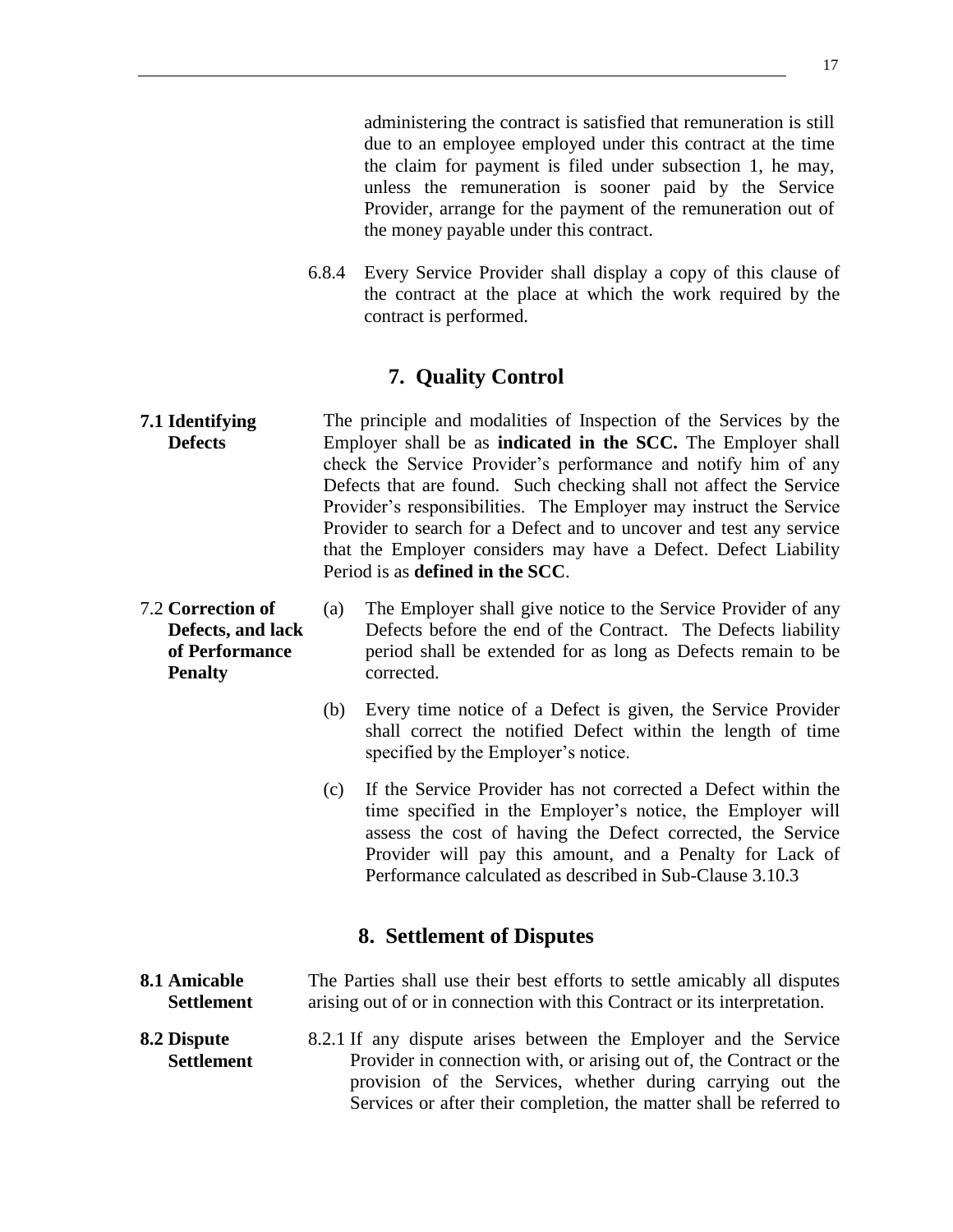administering the contract is satisfied that remuneration is still due to an employee employed under this contract at the time the claim for payment is filed under subsection 1, he may, unless the remuneration is sooner paid by the Service Provider, arrange for the payment of the remuneration out of the money payable under this contract.

6.8.4 Every Service Provider shall display a copy of this clause of the contract at the place at which the work required by the contract is performed.

### **7. Quality Control**

- <span id="page-17-1"></span><span id="page-17-0"></span>**7.1 Identifying Defects** The principle and modalities of Inspection of the Services by the Employer shall be as **indicated in the SCC.** The Employer shall check the Service Provider's performance and notify him of any Defects that are found. Such checking shall not affect the Service Provider's responsibilities. The Employer may instruct the Service Provider to search for a Defect and to uncover and test any service that the Employer considers may have a Defect. Defect Liability Period is as **defined in the SCC**.
- <span id="page-17-2"></span>7.2 **Correction of Defects, and lack of Performance Penalty** (a) The Employer shall give notice to the Service Provider of any Defects before the end of the Contract. The Defects liability period shall be extended for as long as Defects remain to be corrected.
	- (b) Every time notice of a Defect is given, the Service Provider shall correct the notified Defect within the length of time specified by the Employer's notice.
	- (c) If the Service Provider has not corrected a Defect within the time specified in the Employer's notice, the Employer will assess the cost of having the Defect corrected, the Service Provider will pay this amount, and a Penalty for Lack of Performance calculated as described in Sub-Clause 3.10.3

#### **8. Settlement of Disputes**

- <span id="page-17-4"></span><span id="page-17-3"></span>**8.1 Amicable Settlement** The Parties shall use their best efforts to settle amicably all disputes arising out of or in connection with this Contract or its interpretation.
- <span id="page-17-5"></span>**8.2 Dispute Settlement** 8.2.1 If any dispute arises between the Employer and the Service Provider in connection with, or arising out of, the Contract or the provision of the Services, whether during carrying out the Services or after their completion, the matter shall be referred to